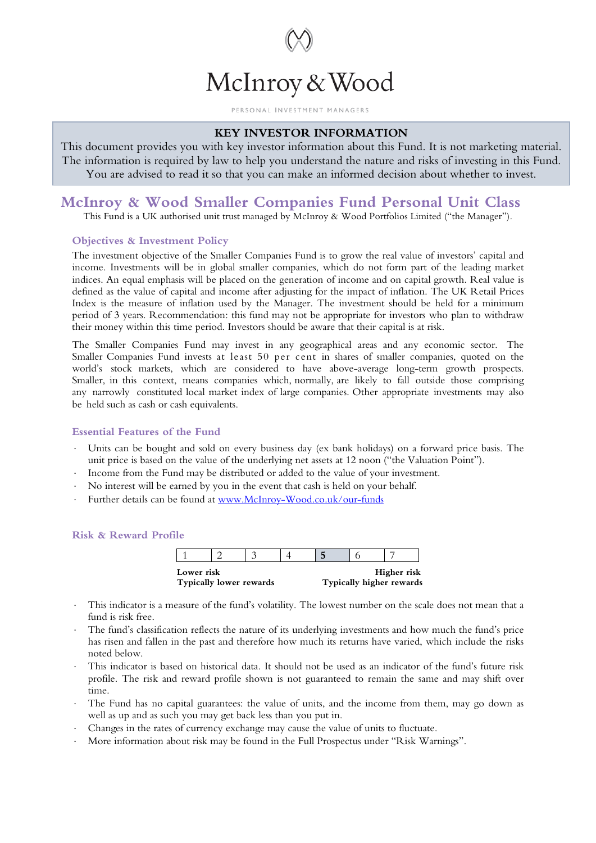

#### PERSONAL INVESTMENT MANAGERS

## **KEY INVESTOR INFORMATION**

This document provides you with key investor information about this Fund. It is not marketing material. The information is required by law to help you understand the nature and risks of investing in this Fund. You are advised to read it so that you can make an informed decision about whether to invest.

# **McInroy & Wood Smaller Companies Fund Personal Unit Class**

This Fund is a UK authorised unit trust managed by McInroy & Wood Portfolios Limited ("the Manager").

## **Objectives & Investment Policy**

The investment objective of the Smaller Companies Fund is to grow the real value of investors' capital and income. Investments will be in global smaller companies, which do not form part of the leading market indices. An equal emphasis will be placed on the generation of income and on capital growth. Real value is defined as the value of capital and income after adjusting for the impact of inflation. The UK Retail Prices Index is the measure of inflation used by the Manager. The investment should be held for a minimum period of 3 years. Recommendation: this fund may not be appropriate for investors who plan to withdraw their money within this time period. Investors should be aware that their capital is at risk.

The Smaller Companies Fund may invest in any geographical areas and any economic sector. The Smaller Companies Fund invests at least 50 per cent in shares of smaller companies, quoted on the world's stock markets, which are considered to have above-average long-term growth prospects. Smaller, in this context, means companies which, normally, are likely to fall outside those comprising any narrowly constituted local market index of large companies. Other appropriate investments may also be held such as cash or cash equivalents.

### **Essential Features of the Fund**

- Units can be bought and sold on every business day (ex bank holidays) on a forward price basis. The unit price is based on the value of the underlying net assets at 12 noon ("the Valuation Point").
- ⋅ Income from the Fund may be distributed or added to the value of your investment.
- No interest will be earned by you in the event that cash is held on your behalf.
- ⋅ Further details can be found at [www.McInroy-Wood.co.uk/our-funds](http://www.mcinroy-wood.co.uk/our-funds)

### **Risk & Reward Profile**

| Lower risk<br><b>Typically lower rewards</b> |  |  | Higher risk<br>Typically higher rewards |  |  |  |
|----------------------------------------------|--|--|-----------------------------------------|--|--|--|
|                                              |  |  |                                         |  |  |  |

- This indicator is a measure of the fund's volatility. The lowest number on the scale does not mean that a fund is risk free.
- The fund's classification reflects the nature of its underlying investments and how much the fund's price has risen and fallen in the past and therefore how much its returns have varied, which include the risks noted below.
- This indicator is based on historical data. It should not be used as an indicator of the fund's future risk profile. The risk and reward profile shown is not guaranteed to remain the same and may shift over time.
- The Fund has no capital guarantees: the value of units, and the income from them, may go down as well as up and as such you may get back less than you put in.
- Changes in the rates of currency exchange may cause the value of units to fluctuate.
- More information about risk may be found in the Full Prospectus under "Risk Warnings".